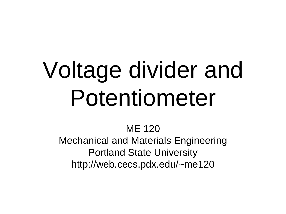# Voltage divider and Potentiometer

ME 120 Mechanical and Materials Engineering Portland State University http://web.cecs.pdx.edu/~me120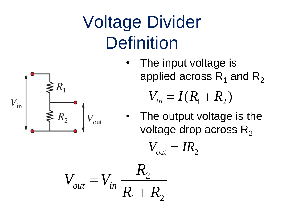### Voltage Divider **Definition**

• The input voltage is applied across  $R_1$  and  $R_2$ 

$$
V_{in}=I(R_1+R_2)
$$

The output voltage is the voltage drop across  $R_2$ 

$$
V_{out} = V_{in} \frac{R_2}{R_1 + R_2}
$$

 $V_{\text{in}}$ 

 $R_{2}$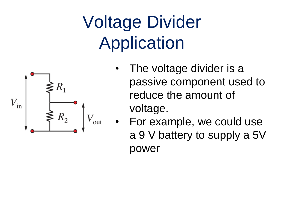## Voltage Divider Application



- The voltage divider is a passive component used to reduce the amount of voltage.
- For example, we could use a 9 V battery to supply a 5V power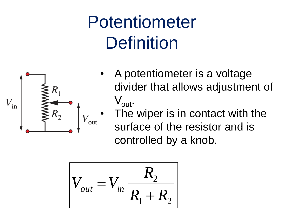### Potentiometer **Definition**



- A potentiometer is a voltage divider that allows adjustment of  $V_{\text{out}}$ .
- The wiper is in contact with the surface of the resistor and is controlled by a knob.

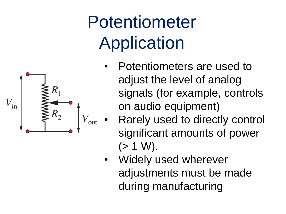### Potentiometer Application

- Potentiometers are used to adjust the level of analog signals (for example, controls on audio equipment)
- Rarely used to directly control significant amounts of power  $(> 1 W)$ .
- Widely used wherever adjustments must be made during manufacturing

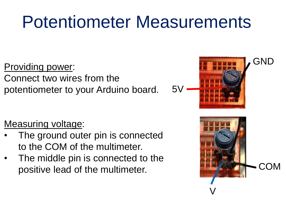#### Potentiometer Measurements

Providing power: Connect two wires from the potentiometer to your Arduino board.

#### Measuring voltage:

- The ground outer pin is connected to the COM of the multimeter.
- The middle pin is connected to the positive lead of the multimeter.



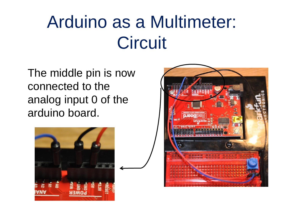### Arduino as a Multimeter: **Circuit**

The middle pin is now connected to the analog input 0 of the arduino board.



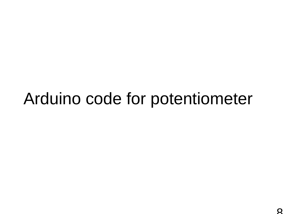#### Arduino code for potentiometer